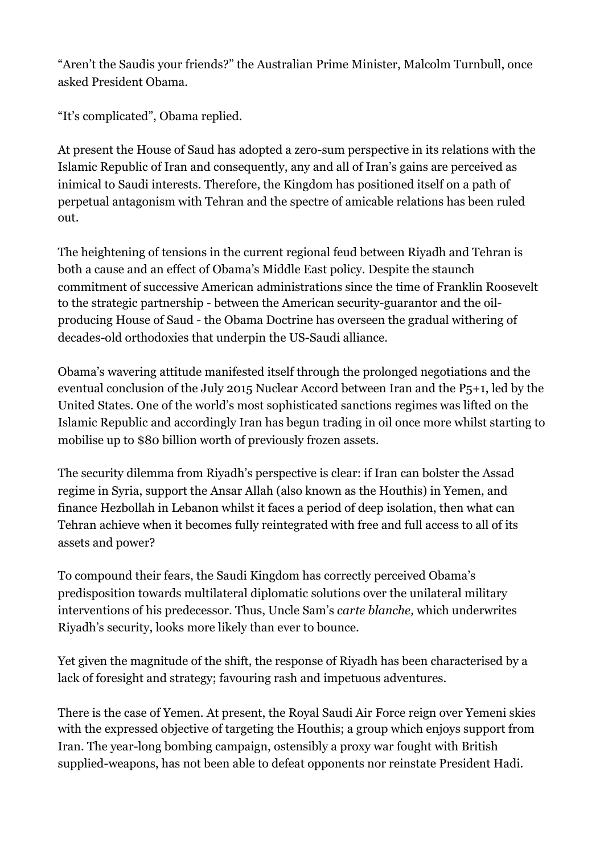"Aren't the Saudis your friends?" the Australian Prime Minister, Malcolm Turnbull, once asked President Obama.

"It's complicated", Obama replied.

At present the House of Saud has adopted a zero-sum perspective in its relations with the Islamic Republic of Iran and consequently, any and all of Iran's gains are perceived as inimical to Saudi interests. Therefore, the Kingdom has positioned itself on a path of perpetual antagonism with Tehran and the spectre of amicable relations has been ruled out.

The heightening of tensions in the current regional feud between Riyadh and Tehran is both a cause and an effect of Obama's Middle East policy. Despite the staunch commitment of successive American administrations since the time of Franklin Roosevelt to the strategic partnership - between the American security-guarantor and the oilproducing House of Saud - the Obama Doctrine has overseen the gradual withering of decades-old orthodoxies that underpin the US-Saudi alliance.

Obama's wavering attitude manifested itself through the prolonged negotiations and the eventual conclusion of the July 2015 Nuclear Accord between Iran and the P5+1, led by the United States. One of the world's most sophisticated sanctions regimes was lifted on the Islamic Republic and accordingly Iran has begun trading in oil once more whilst starting to mobilise up to \$80 billion worth of previously frozen assets.

The security dilemma from Riyadh's perspective is clear: if Iran can bolster the Assad regime in Syria, support the Ansar Allah (also known as the Houthis) in Yemen, and finance Hezbollah in Lebanon whilst it faces a period of deep isolation, then what can Tehran achieve when it becomes fully reintegrated with free and full access to all of its assets and power?

To compound their fears, the Saudi Kingdom has correctly perceived Obama's predisposition towards multilateral diplomatic solutions over the unilateral military interventions of his predecessor. Thus, Uncle Sam's *carte blanche,* which underwrites Riyadh's security, looks more likely than ever to bounce.

Yet given the magnitude of the shift, the response of Riyadh has been characterised by a lack of foresight and strategy; favouring rash and impetuous adventures.

There is the case of Yemen. At present, the Royal Saudi Air Force reign over Yemeni skies with the expressed objective of targeting the Houthis; a group which enjoys support from Iran. The year-long bombing campaign, ostensibly a proxy war fought with British supplied-weapons, has not been able to defeat opponents nor reinstate President Hadi.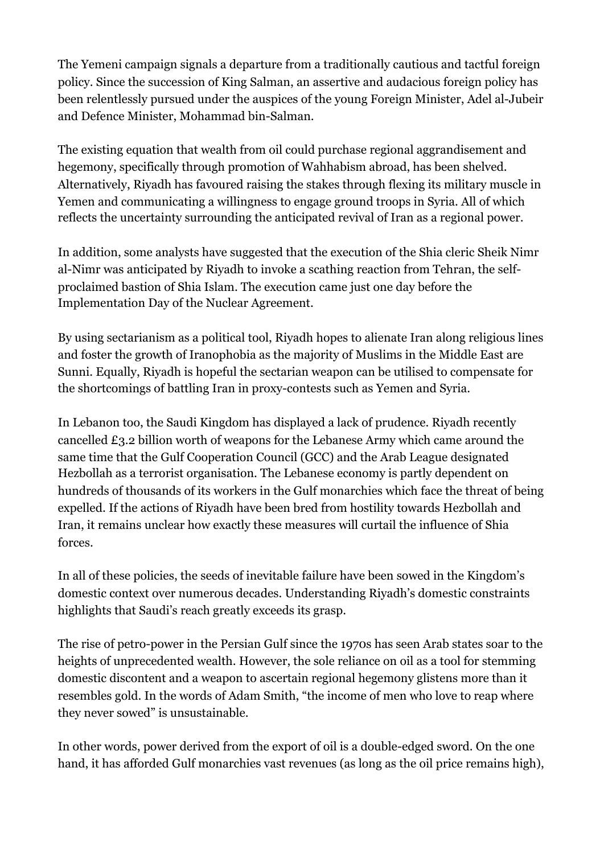The Yemeni campaign signals a departure from a traditionally cautious and tactful foreign policy. Since the succession of King Salman, an assertive and audacious foreign policy has been relentlessly pursued under the auspices of the young Foreign Minister, Adel al-Jubeir and Defence Minister, Mohammad bin-Salman.

The existing equation that wealth from oil could purchase regional aggrandisement and hegemony, specifically through promotion of Wahhabism abroad, has been shelved. Alternatively, Riyadh has favoured raising the stakes through flexing its military muscle in Yemen and communicating a willingness to engage ground troops in Syria. All of which reflects the uncertainty surrounding the anticipated revival of Iran as a regional power.

In addition, some analysts have suggested that the execution of the Shia cleric Sheik Nimr al-Nimr was anticipated by Riyadh to invoke a scathing reaction from Tehran, the selfproclaimed bastion of Shia Islam. The execution came just one day before the Implementation Day of the Nuclear Agreement.

By using sectarianism as a political tool, Riyadh hopes to alienate Iran along religious lines and foster the growth of Iranophobia as the majority of Muslims in the Middle East are Sunni. Equally, Riyadh is hopeful the sectarian weapon can be utilised to compensate for the shortcomings of battling Iran in proxy-contests such as Yemen and Syria.

In Lebanon too, the Saudi Kingdom has displayed a lack of prudence. Riyadh recently cancelled £3.2 billion worth of weapons for the Lebanese Army which came around the same time that the Gulf Cooperation Council (GCC) and the Arab League designated Hezbollah as a terrorist organisation. The Lebanese economy is partly dependent on hundreds of thousands of its workers in the Gulf monarchies which face the threat of being expelled. If the actions of Riyadh have been bred from hostility towards Hezbollah and Iran, it remains unclear how exactly these measures will curtail the influence of Shia forces.

In all of these policies, the seeds of inevitable failure have been sowed in the Kingdom's domestic context over numerous decades. Understanding Riyadh's domestic constraints highlights that Saudi's reach greatly exceeds its grasp.

The rise of petro-power in the Persian Gulf since the 1970s has seen Arab states soar to the heights of unprecedented wealth. However, the sole reliance on oil as a tool for stemming domestic discontent and a weapon to ascertain regional hegemony glistens more than it resembles gold. In the words of Adam Smith, "the income of men who love to reap where they never sowed" is unsustainable.

In other words, power derived from the export of oil is a double-edged sword. On the one hand, it has afforded Gulf monarchies vast revenues (as long as the oil price remains high),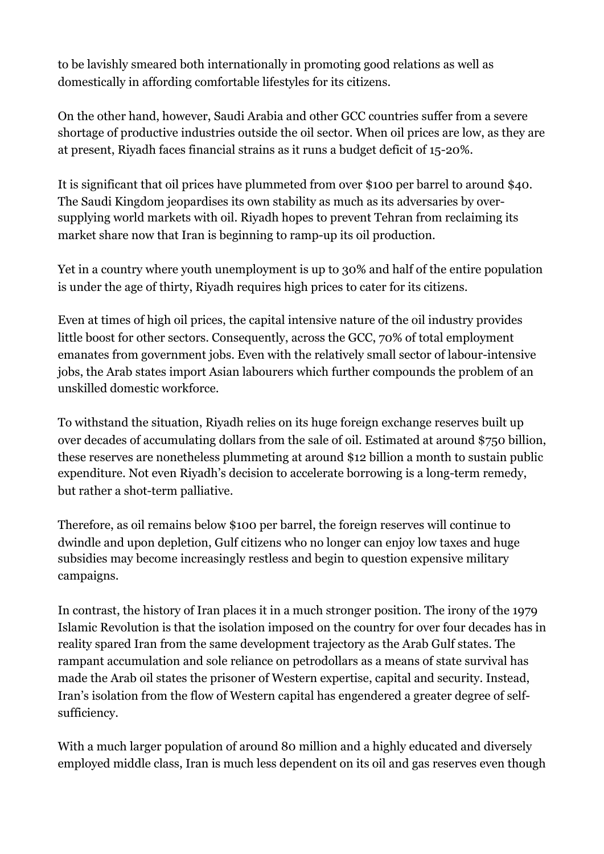to be lavishly smeared both internationally in promoting good relations as well as domestically in affording comfortable lifestyles for its citizens.

On the other hand, however, Saudi Arabia and other GCC countries suffer from a severe shortage of productive industries outside the oil sector. When oil prices are low, as they are at present, Riyadh faces financial strains as it runs a budget deficit of 15-20%.

It is significant that oil prices have plummeted from over \$100 per barrel to around \$40. The Saudi Kingdom jeopardises its own stability as much as its adversaries by oversupplying world markets with oil. Riyadh hopes to prevent Tehran from reclaiming its market share now that Iran is beginning to ramp-up its oil production.

Yet in a country where youth unemployment is up to 30% and half of the entire population is under the age of thirty, Riyadh requires high prices to cater for its citizens.

Even at times of high oil prices, the capital intensive nature of the oil industry provides little boost for other sectors. Consequently, across the GCC, 70% of total employment emanates from government jobs. Even with the relatively small sector of labour-intensive jobs, the Arab states import Asian labourers which further compounds the problem of an unskilled domestic workforce.

To withstand the situation, Riyadh relies on its huge foreign exchange reserves built up over decades of accumulating dollars from the sale of oil. Estimated at around \$750 billion, these reserves are nonetheless plummeting at around \$12 billion a month to sustain public expenditure. Not even Riyadh's decision to accelerate borrowing is a long-term remedy, but rather a shot-term palliative.

Therefore, as oil remains below \$100 per barrel, the foreign reserves will continue to dwindle and upon depletion, Gulf citizens who no longer can enjoy low taxes and huge subsidies may become increasingly restless and begin to question expensive military campaigns.

In contrast, the history of Iran places it in a much stronger position. The irony of the 1979 Islamic Revolution is that the isolation imposed on the country for over four decades has in reality spared Iran from the same development trajectory as the Arab Gulf states. The rampant accumulation and sole reliance on petrodollars as a means of state survival has made the Arab oil states the prisoner of Western expertise, capital and security. Instead, Iran's isolation from the flow of Western capital has engendered a greater degree of selfsufficiency.

With a much larger population of around 80 million and a highly educated and diversely employed middle class, Iran is much less dependent on its oil and gas reserves even though